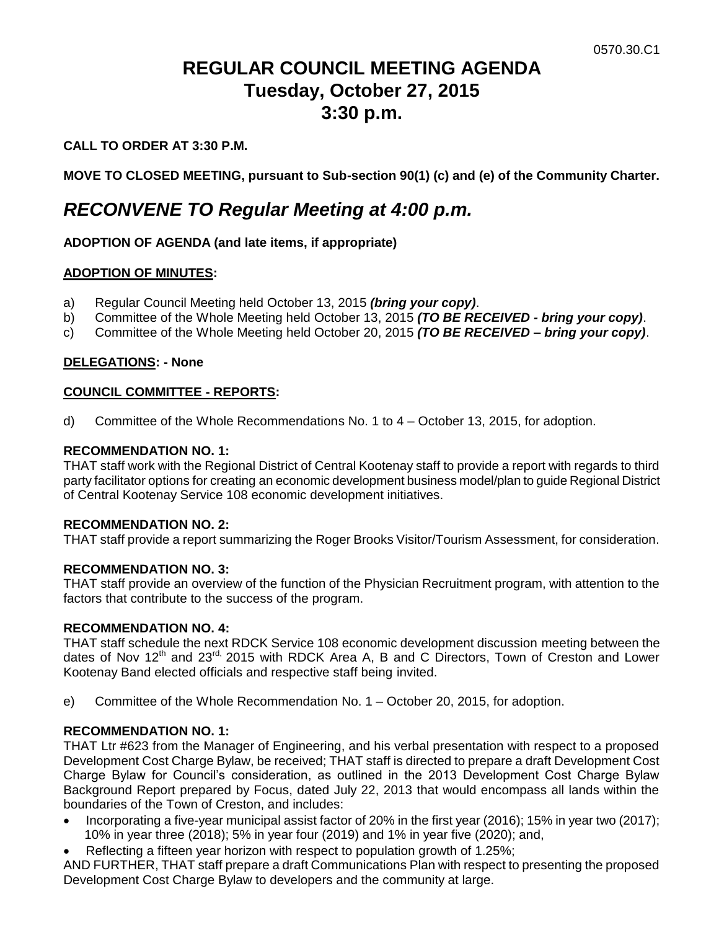# **REGULAR COUNCIL MEETING AGENDA Tuesday, October 27, 2015 3:30 p.m.**

# **CALL TO ORDER AT 3:30 P.M.**

**MOVE TO CLOSED MEETING, pursuant to Sub-section 90(1) (c) and (e) of the Community Charter.**

# *RECONVENE TO Regular Meeting at 4:00 p.m.*

# **ADOPTION OF AGENDA (and late items, if appropriate)**

#### **ADOPTION OF MINUTES:**

- a) Regular Council Meeting held October 13, 2015 *(bring your copy)*.
- b) Committee of the Whole Meeting held October 13, 2015 *(TO BE RECEIVED - bring your copy)*.
- c) Committee of the Whole Meeting held October 20, 2015 *(TO BE RECEIVED – bring your copy)*.

# **DELEGATIONS: - None**

# **COUNCIL COMMITTEE - REPORTS:**

d) Committee of the Whole Recommendations No. 1 to 4 – October 13, 2015, for adoption.

#### **RECOMMENDATION NO. 1:**

THAT staff work with the Regional District of Central Kootenay staff to provide a report with regards to third party facilitator options for creating an economic development business model/plan to guide Regional District of Central Kootenay Service 108 economic development initiatives.

#### **RECOMMENDATION NO. 2:**

THAT staff provide a report summarizing the Roger Brooks Visitor/Tourism Assessment, for consideration.

#### **RECOMMENDATION NO. 3:**

THAT staff provide an overview of the function of the Physician Recruitment program, with attention to the factors that contribute to the success of the program.

#### **RECOMMENDATION NO. 4:**

THAT staff schedule the next RDCK Service 108 economic development discussion meeting between the dates of Nov 12<sup>th</sup> and 23<sup>rd,</sup> 2015 with RDCK Area A, B and C Directors, Town of Creston and Lower Kootenay Band elected officials and respective staff being invited.

e) Committee of the Whole Recommendation No. 1 – October 20, 2015, for adoption.

# **RECOMMENDATION NO. 1:**

THAT Ltr #623 from the Manager of Engineering, and his verbal presentation with respect to a proposed Development Cost Charge Bylaw, be received; THAT staff is directed to prepare a draft Development Cost Charge Bylaw for Council's consideration, as outlined in the 2013 Development Cost Charge Bylaw Background Report prepared by Focus, dated July 22, 2013 that would encompass all lands within the boundaries of the Town of Creston, and includes:

- Incorporating a five-year municipal assist factor of 20% in the first year (2016); 15% in year two (2017); 10% in year three (2018); 5% in year four (2019) and 1% in year five (2020); and,
- Reflecting a fifteen year horizon with respect to population growth of 1.25%;

AND FURTHER, THAT staff prepare a draft Communications Plan with respect to presenting the proposed Development Cost Charge Bylaw to developers and the community at large.